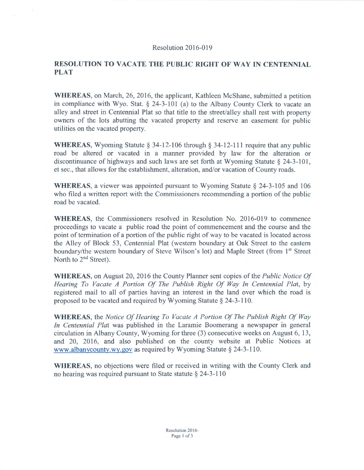## Resolution 2016-019

## **RESOLUTION TO VACATE THE PUBLIC RIGHT OF WAY IN CENTENNIAL PLAT**

**WHEREAS,** on March, 26, 2016, the applicant, Kathleen McShane, submitted a petition in compliance with Wyo. Stat. § 24-3-101 (a) to the Albany County Clerk to vacate an alley and street in Centennial Plat so that title to the street/alley shall rest with property owners of the lots abutting the vacated property and reserve an easement for public utilities on the vacated property.

**WHEREAS,** Wyoming Statute § 34-12-106 through § 34-12-111 require that any public road be altered or vacated in a manner provided by law for the alteration or discontinuance of highways and such laws are set forth at Wyoming Statute  $\S$  24-3-101. et sec., that allows for the establishment, alteration, and/or vacation of County roads.

**WHEREAS,** a viewer was appointed pursuant to Wyoming Statute§ 24-3-105 and 106 who filed a written report with the Commissioners recommending a portion of the public road be vacated.

**WHEREAS,** the Commissioners resolved in Resolution No. 2016-019 to commence proceedings to vacate a public road the point of commencement and the course and the point of termination of a portion of the public right of way to be vacated is located across the Alley of Block 53, Centennial Plat (western boundary at Oak Street to the eastern boundary/the western boundary of Steve Wilson's lot) and Maple Street (from 1<sup>st</sup> Street North to 2<sup>nd</sup> Street).

**WHEREAS, on August 20, 2016 the County Planner sent copies of the** *Public Notice Of Hearing To Vacate A Portion Of The Publish Right Of Way In Centennial Plat,* by registered mail to all of parties having an interest in the land over which the road is proposed to be vacated and required by Wyoming Statute§ 24-3-110.

**WHEREAS,** the *Notice Of Hearing To Vacate A Portion Of The Publish Right Of Way In Centennial Plat* was published in the Laramie Boomerang a newspaper in general circulation in Albany County, Wyoming for three (3) consecutive weeks on August 6, 13, and 20, 2016, and also published on the county website at Public Notices at www.albanycounty.wy.gov as required by Wyoming Statute§ 24-3-110.

**WHEREAS,** no objections were filed or received in writing with the County Clerk and no hearing was required pursuant to State statute  $\S$  24-3-110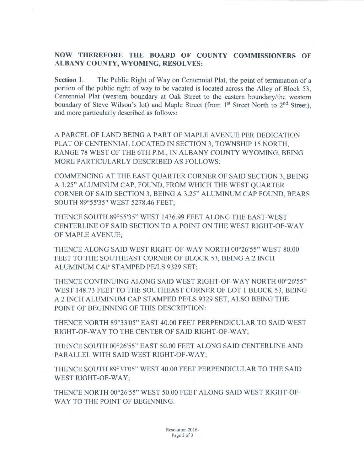## **NOW THEREFORE THE BOARD OF COUNTY COMMISSIONERS OF ALBANY COUNTY, WYOMING, RESOLVES:**

÷

**Section 1.** The Public Right of Way on Centennial Plat, the point of termination of a portion of the public right of way to be vacated is located across the Alley of Block 53, Centennial Plat (western boundary at Oak Street to the eastern boundary/the western boundary of Steve Wilson's lot) and Maple Street (from  $1<sup>st</sup>$  Street North to  $2<sup>nd</sup>$  Street), and more particularly described as follows:

A PARCEL OF LAND BEING A PART OF MAPLE A VENUE PER DEDICATION PLAT OF CENTENNIAL LOCATED IN SECTION 3, TOWNSHIP 15 NORTH, RANGE 78 WEST OF THE 6TH P.M., IN ALBANY COUNTY WYOMING, BEING MORE PARTICULARLY DESCRIBED AS FOLLOWS:

COMMENCING AT THE EAST QUARTER CORNER OF SAID SECTION 3, BEING A 3.25" ALUMINUM CAP, FOUND, FROM WHICH THE WEST QUARTER CORNER OF SAID SECTION 3, BEING A 3.25" ALUMINUM CAP FOUND, BEARS SOUTH 89°55'35" WEST 5278.46 FEET;

THENCE SOUTH 89°55'35" WEST 1436.99 FEET ALONG THE EAST-WEST CENTERLINE OF SAID SECTION TO A POINT ON THE WEST RIGHT -OF-WAY OF MAPLE A VENUE;

THENCE ALONG SAID WEST RIGHT-OF-WAY NORTH 00°26'55" WEST 80.00 FEET TO THE SOUTHEAST CORNER OF BLOCK 53, BEING A 2 INCH ALUMINUM CAP STAMPED PE/LS 9329 SET;

THENCE CONTINUING ALONG SAID WEST RIGHT-OF-WAY NORTH 00°26'55" WEST 148.73 FEET TO THE SOUTHEAST CORNER OF LOT 1 BLOCK 53, BEING A 2 INCH ALUMINUM CAP STAMPED PE/LS 9329 SET, ALSO BEING THE POINT OF BEGINNING OF THIS DESCRIPTION:

THENCE NORTH 89°33'05" EAST 40.00 FEET PERPENDICULAR TO SAID WEST RIGHT-OF-WAY TO THE CENTER OF SAID RIGHT-OF-WAY;

THENCE SOUTH 00°26'55" EAST 50.00 FEET ALONG SAID CENTERLINE AND ·PARALLEL WITH SAID WEST RIGHT-OF-WAY;

THENCE SOUTH 89°33'05" WEST 40.00 FEET PERPENDICULAR TO THE SAID WEST RIGHT-OF-WAY;

THENCE NORTH 00°26'55" WEST 50.00 FEET ALONG SAID WEST RIGHT-OF-WAY TO THE POINT OF BEGINNING.